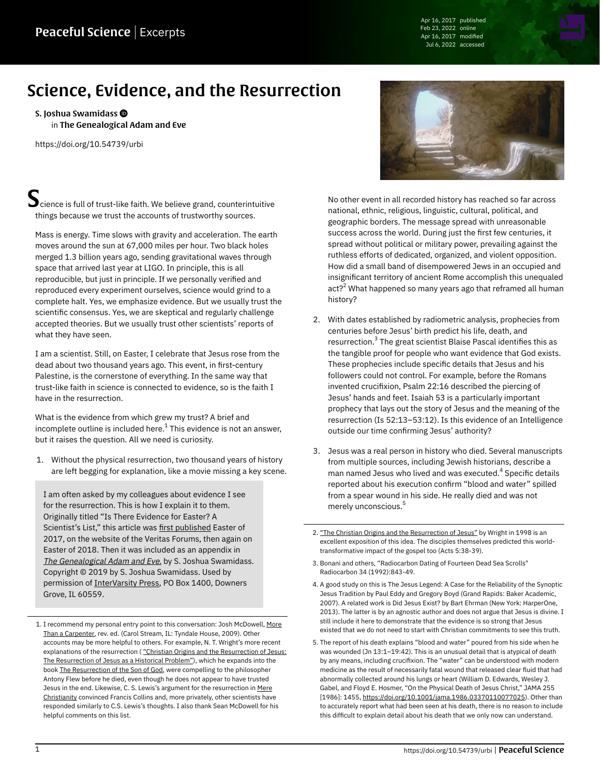Apr 16, 2017 published Feb 23, 2022 online Apr 16, 2017 modified Jul 6, 2022 accessed

## Science, Evidence, and the Resurrection

[S. Joshua Swamidass](https://peacefulscience.org/authors/swamidass/) in [The Genealogical Adam and Eve](https://peacefulscience.org/books/genealogical-adam-eve/)

<https://doi.org/10.54739/urbi>

 $\blacktriangleright$  cience is full of trust-like faith. We believe grand, counterintuitive things because we trust the accounts of trustworthy sources.

Mass is energy. Time slows with gravity and acceleration. The earth moves around the sun at 67,000 miles per hour. Two black holes merged 1.3 billion years ago, sending gravitational waves through space that arrived last year at LIGO. In principle, this is all reproducible, but just in principle. If we personally verified and reproduced every experiment ourselves, science would grind to a complete halt. Yes, we emphasize evidence. But we usually trust the scientific consensus. Yes, we are skeptical and regularly challenge accepted theories. But we usually trust other scientists' reports of what they have seen.

I am a scientist. Still, on Easter, I celebrate that Jesus rose from the dead about two thousand years ago. This event, in first-century Palestine, is the cornerstone of everything. In the same way that trust-like faith in science is connected to evidence, so is the faith I have in the resurrection.

What is the evidence from which grew my trust? A brief and incomplete outline is included here. $^{\rm 1}$  This evidence is not an answer, but it raises the question. All we need is curiosity.

1. Without the physical resurrection, two thousand years of history are left begging for explanation, like a movie missing a key scene.

I am often asked by my colleagues about evidence I see for the resurrection. This is how I explain it to them. Originally titled "Is There Evidence for Easter? A Scientist's List," this article was [first published](https://web.archive.org/web/20170916033354/http://www.veritas.org/evidence-easter-scientists-list) Easter of 2017, on the website of the Veritas Forums, then again on Easter of 2018. Then it was included as an appendix in [The Genealogical Adam and Eve.](https://peacefulscience.org/books/genealogical-adam-eve/) by S. Joshua Swamidass. Copyright © 2019 by S. Joshua Swamidass. Used by permission of [InterVarsity Press](https://www.ivpress.com/), PO Box 1400, Downers Grove, IL 60559.



No other event in all recorded history has reached so far across national, ethnic, religious, linguistic, cultural, political, and geographic borders. The message spread with unreasonable success across the world. During just the first few centuries, it spread without political or military power, prevailing against the ruthless efforts of dedicated, organized, and violent opposition. How did a small band of disempowered Jews in an occupied and insignificant territory of ancient Rome accomplish this unequaled act?<sup>2</sup> What happened so many years ago that reframed all human history?

- 2. With dates established by radiometric analysis, prophecies from centuries before Jesus' birth predict his life, death, and resurrection. $^3$  The great scientist Blaise Pascal identifies this as the tangible proof for people who want evidence that God exists. These prophecies include specific details that Jesus and his followers could not control. For example, before the Romans invented crucifixion, Psalm 22:16 described the piercing of Jesus' hands and feet. Isaiah 53 is a particularly important prophecy that lays out the story of Jesus and the meaning of the resurrection (Is 52:13–53:12). Is this evidence of an Intelligence outside our time confirming Jesus' authority?
- 3. Jesus was a real person in history who died. Several manuscripts from multiple sources, including Jewish historians, describe a man named Jesus who lived and was executed. $^{\textrm{4}}$  Specific details reported about his execution confirm "blood and water" spilled from a spear wound in his side. He really died and was not merely unconscious. 5
- 2. ["The Christian Origins and the Resurrection of Jesus"](https://ntwrightpage.com/2016/07/12/christian-origins-and-the-resurrection-of-jesus-the-resurrection-of-jesus-as-a-historical-problem) by Wright in 1998 is an excellent exposition of this idea. The disciples themselves predicted this worldtransformative impact of the gospel too (Acts 5:38-39).
- 3. Bonani and others, "Radiocarbon Dating of Fourteen Dead Sea Scrolls" Radiocarbon 34 (1992):843-49.
- 4. A good study on this is The Jesus Legend: A Case for the Reliability of the Synoptic Jesus Tradition by Paul Eddy and Gregory Boyd (Grand Rapids: Baker Academic, 2007). A related work is Did Jesus Exist? by Bart Ehrman (New York: HarperOne, 2013). The latter is by an agnostic author and does not argue that Jesus is divine. I still include it here to demonstrate that the evidence is so strong that Jesus existed that we do not need to start with Christian commitments to see this truth.
- 5. The report of his death explains "blood and water" poured from his side when he was wounded (Jn 13:1–19:42). This is an unusual detail that is atypical of death by any means, including crucifixion. The "water" can be understood with modern medicine as the result of necessarily fatal wound that released clear fluid that had abnormally collected around his lungs or heart (William D. Edwards, Wesley J. Gabel, and Floyd E. Hosmer, "On the Physical Death of Jesus Christ," JAMA 255 [1986]: 1455, [https://doi.org/10.1001/jama.1986.03370110077025\)](https://doi.org/10.1001/jama.1986.03370110077025). Other than to accurately report what had been seen at his death, there is no reason to include this difficult to explain detail about his death that we only now can understand.

<sup>1.</sup> I recommend my personal entry point to this conversation: Josh McDowell, [More](https://peacefulscience.org/books/more-than-carpenter/) [Than a Carpenter](https://peacefulscience.org/books/more-than-carpenter/), rev. ed. (Carol Stream, IL: Tyndale House, 2009). Other accounts may be more helpful to others. For example, N. T. Wright's more recent explanations of the resurrection (["Christian Origins and the Resurrection of Jesus:](https://ntwrightpage.com/2016/07/12/christian-origins-and-the-resurrection-of-jesus-the-resurrection-of-jesus-as-a-historical-problem) [The Resurrection of Jesus as a Historical Problem"](https://ntwrightpage.com/2016/07/12/christian-origins-and-the-resurrection-of-jesus-the-resurrection-of-jesus-as-a-historical-problem)), which he expands into the book [The Resurrection of the Son of God](https://peacefulscience.org/books/resurrection-son-god/), were compelling to the philosopher Antony Flew before he died, even though he does not appear to have trusted Jesus in the end. Likewise, C. S. Lewis's argument for the resurrection in [Mere](https://peacefulscience.org/books/mere-christianity/) [Christianity](https://peacefulscience.org/books/mere-christianity/) convinced Francis Collins and, more privately, other scientists have responded similarly to C.S. Lewis's thoughts. I also thank Sean McDowell for his helpful comments on this list.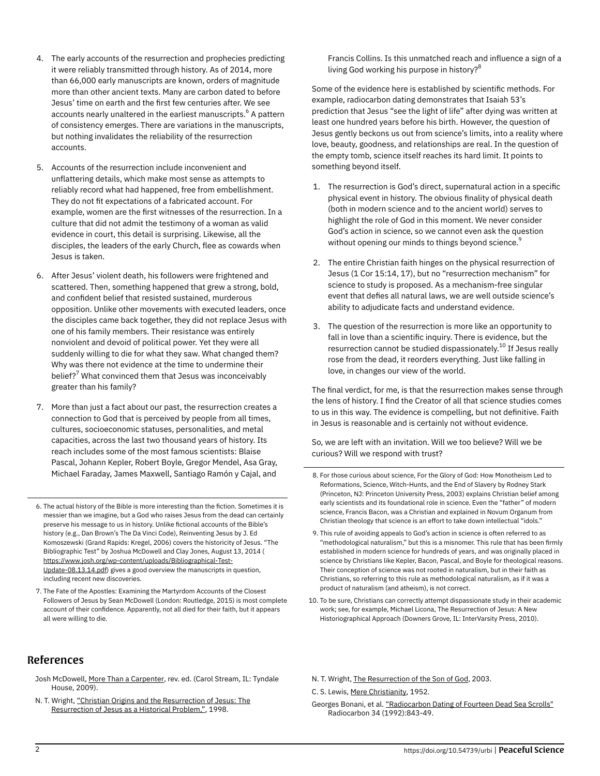- 4. The early accounts of the resurrection and prophecies predicting it were reliably transmitted through history. As of 2014, more than 66,000 early manuscripts are known, orders of magnitude more than other ancient texts. Many are carbon dated to before Jesus' time on earth and the first few centuries after. We see accounts nearly unaltered in the earliest manuscripts.<sup>6</sup> A pattern of consistency emerges. There are variations in the manuscripts, but nothing invalidates the reliability of the resurrection accounts.
- 5. Accounts of the resurrection include inconvenient and unflattering details, which make most sense as attempts to reliably record what had happened, free from embellishment. They do not fit expectations of a fabricated account. For example, women are the first witnesses of the resurrection. In a culture that did not admit the testimony of a woman as valid evidence in court, this detail is surprising. Likewise, all the disciples, the leaders of the early Church, flee as cowards when Jesus is taken.
- 6. After Jesus' violent death, his followers were frightened and scattered. Then, something happened that grew a strong, bold, and confident belief that resisted sustained, murderous opposition. Unlike other movements with executed leaders, once the disciples came back together, they did not replace Jesus with one of his family members. Their resistance was entirely nonviolent and devoid of political power. Yet they were all suddenly willing to die for what they saw. What changed them? Why was there not evidence at the time to undermine their belief? $^7$  What convinced them that Jesus was inconceivably greater than his family?
- 7. More than just a fact about our past, the resurrection creates a connection to God that is perceived by people from all times, cultures, socioeconomic statuses, personalities, and metal capacities, across the last two thousand years of history. Its reach includes some of the most famous scientists: Blaise Pascal, Johann Kepler, Robert Boyle, Gregor Mendel, Asa Gray, Michael Faraday, James Maxwell, Santiago Ramón y Cajal, and
- 6. The actual history of the Bible is more interesting than the fiction. Sometimes it is messier than we imagine, but a God who raises Jesus from the dead can certainly preserve his message to us in history. Unlike fictional accounts of the Bible's history (e.g., Dan Brown's The Da Vinci Code), Reinventing Jesus by J. Ed Komoszewski (Grand Rapids: Kregel, 2006) covers the historicity of Jesus. "The Bibliographic Test" by Joshua McDowell and Clay Jones, August 13, 2014 ( [https://www.josh.org/wp-content/uploads/Bibliographical-Test-](https://www.josh.org/wp-content/uploads/Bibliographical-Test-Update-08.13.14.pdf)[Update-08.13.14.pdf\)](https://www.josh.org/wp-content/uploads/Bibliographical-Test-Update-08.13.14.pdf) gives a good overview the manuscripts in question, including recent new discoveries.
- 7. The Fate of the Apostles: Examining the Martyrdom Accounts of the Closest Followers of Jesus by Sean McDowell (London: Routledge, 2015) is most complete account of their confidence. Apparently, not all died for their faith, but it appears all were willing to die.

## References

- Josh McDowell, [More Than a Carpenter](https://peacefulscience.org/books/more-than-carpenter/), rev. ed. (Carol Stream, IL: Tyndale House, 2009).
- N. T. Wright, ["Christian Origins and the Resurrection of Jesus: The](https://ntwrightpage.com/2016/07/12/christian-origins-and-the-resurrection-of-jesus-the-resurrection-of-jesus-as-a-historical-problem) [Resurrection of Jesus as a Historical Problem,"](https://ntwrightpage.com/2016/07/12/christian-origins-and-the-resurrection-of-jesus-the-resurrection-of-jesus-as-a-historical-problem), 1998.

Francis Collins. Is this unmatched reach and influence a sign of a living God working his purpose in history?<sup>8</sup>

Some of the evidence here is established by scientific methods. For example, radiocarbon dating demonstrates that Isaiah 53's prediction that Jesus "see the light of life" after dying was written at least one hundred years before his birth. However, the question of Jesus gently beckons us out from science's limits, into a reality where love, beauty, goodness, and relationships are real. In the question of the empty tomb, science itself reaches its hard limit. It points to something beyond itself.

- 1. The resurrection is God's direct, supernatural action in a specific physical event in history. The obvious finality of physical death (both in modern science and to the ancient world) serves to highlight the role of God in this moment. We never consider God's action in science, so we cannot even ask the question without opening our minds to things beyond science. $^{\rm 9}$
- 2. The entire Christian faith hinges on the physical resurrection of Jesus (1 Cor 15:14, 17), but no "resurrection mechanism" for science to study is proposed. As a mechanism-free singular event that defies all natural laws, we are well outside science's ability to adjudicate facts and understand evidence.
- 3. The question of the resurrection is more like an opportunity to fall in love than a scientific inquiry. There is evidence, but the resurrection cannot be studied dispassionately.<sup>10</sup> If Jesus really rose from the dead, it reorders everything. Just like falling in love, in changes our view of the world.

The final verdict, for me, is that the resurrection makes sense through the lens of history. I find the Creator of all that science studies comes to us in this way. The evidence is compelling, but not definitive. Faith in Jesus is reasonable and is certainly not without evidence.

So, we are left with an invitation. Will we too believe? Will we be curious? Will we respond with trust?

- 8. For those curious about science, For the Glory of God: How Monotheism Led to Reformations, Science, Witch-Hunts, and the End of Slavery by Rodney Stark (Princeton, NJ: Princeton University Press, 2003) explains Christian belief among early scientists and its foundational role in science. Even the "father" of modern science, Francis Bacon, was a Christian and explained in Novum Organum from Christian theology that science is an effort to take down intellectual "idols."
- 9. This rule of avoiding appeals to God's action in science is often referred to as "methodological naturalism," but this is a misnomer. This rule that has been firmly established in modern science for hundreds of years, and was originally placed in science by Christians like Kepler, Bacon, Pascal, and Boyle for theological reasons. Their conception of science was not rooted in naturalism, but in their faith as Christians, so referring to this rule as methodological naturalism, as if it was a product of naturalism (and atheism), is not correct.
- 10. To be sure, Christians can correctly attempt dispassionate study in their academic work; see, for example, Michael Licona, The Resurrection of Jesus: A New Historiographical Approach (Downers Grove, IL: InterVarsity Press, 2010).

N. T. Wright, [The Resurrection of the Son of God,](https://peacefulscience.org/books/resurrection-son-god/) 2003.

C. S. Lewis, [Mere Christianity,](https://peacefulscience.org/books/mere-christianity/) 1952.

Georges Bonani, et al. ["Radiocarbon Dating of Fourteen Dead Sea Scrolls"](https://journals.uair.arizona.edu/index.php/radiocarbon/article/viewFile/1537/1541) Radiocarbon 34 (1992):843-49.